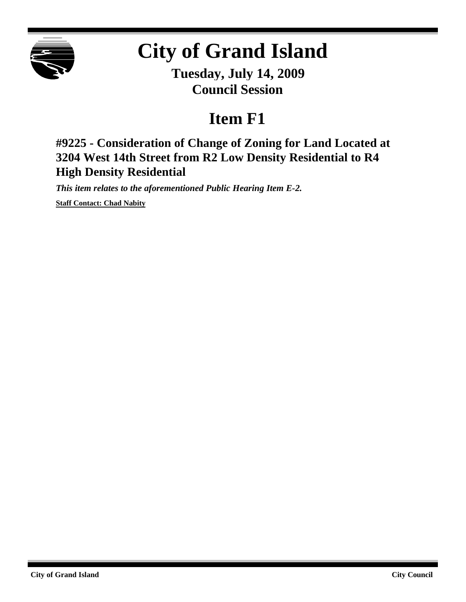

## **City of Grand Island**

**Tuesday, July 14, 2009 Council Session**

## **Item F1**

**#9225 - Consideration of Change of Zoning for Land Located at 3204 West 14th Street from R2 Low Density Residential to R4 High Density Residential**

*This item relates to the aforementioned Public Hearing Item E-2.*

**Staff Contact: Chad Nabity**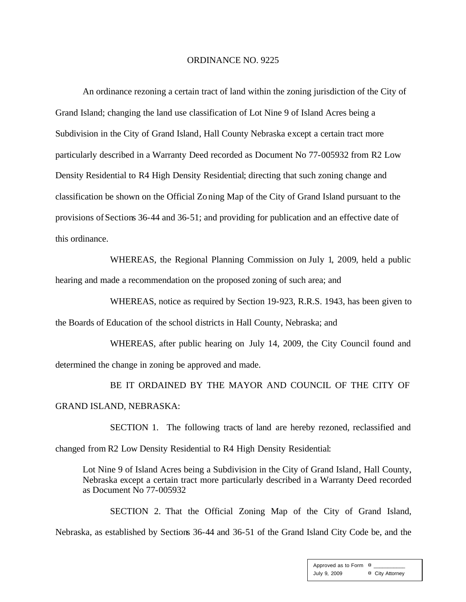## ORDINANCE NO. 9225

An ordinance rezoning a certain tract of land within the zoning jurisdiction of the City of Grand Island; changing the land use classification of Lot Nine 9 of Island Acres being a Subdivision in the City of Grand Island, Hall County Nebraska except a certain tract more particularly described in a Warranty Deed recorded as Document No 77-005932 from R2 Low Density Residential to R4 High Density Residential; directing that such zoning change and classification be shown on the Official Zoning Map of the City of Grand Island pursuant to the provisions of Sections 36-44 and 36-51; and providing for publication and an effective date of this ordinance.

WHEREAS, the Regional Planning Commission on July 1, 2009, held a public hearing and made a recommendation on the proposed zoning of such area; and

WHEREAS, notice as required by Section 19-923, R.R.S. 1943, has been given to the Boards of Education of the school districts in Hall County, Nebraska; and

WHEREAS, after public hearing on July 14, 2009, the City Council found and determined the change in zoning be approved and made.

BE IT ORDAINED BY THE MAYOR AND COUNCIL OF THE CITY OF GRAND ISLAND, NEBRASKA:

SECTION 1. The following tracts of land are hereby rezoned, reclassified and changed from R2 Low Density Residential to R4 High Density Residential:

Lot Nine 9 of Island Acres being a Subdivision in the City of Grand Island, Hall County, Nebraska except a certain tract more particularly described in a Warranty Deed recorded as Document No 77-005932

SECTION 2. That the Official Zoning Map of the City of Grand Island, Nebraska, as established by Sections 36-44 and 36-51 of the Grand Island City Code be, and the

> Approved as to Form  $\overline{a}$ July 9, 2009 ¤ City Attorney